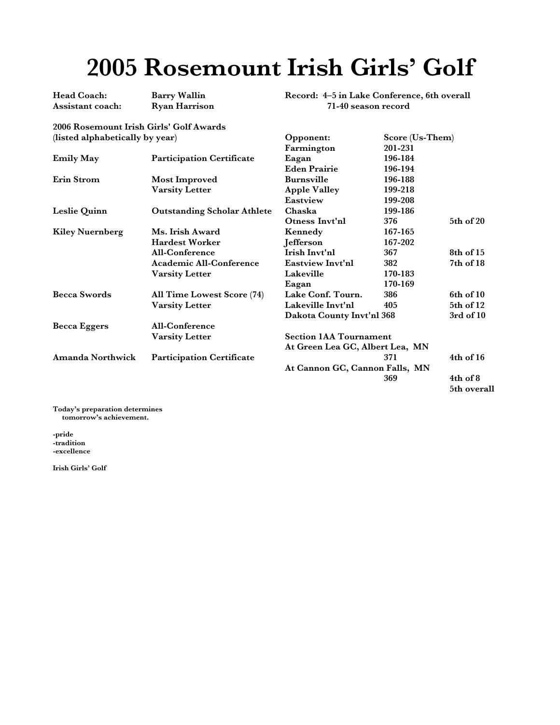## **2005 Rosemount Irish Girls' Golf**

**Head Coach: Barry Wallin Assistant coach: Ryan Harrison**

**Record: 4–5 in Lake Conference, 6th overall 71-40 season record** 

**Opponent: Score (Us-Them)**

**2006 Rosemount Irish Girls' Golf Awards (listed alphabetically by year)**

|                        |                                    | Farmington                                                       | 201-231 |               |
|------------------------|------------------------------------|------------------------------------------------------------------|---------|---------------|
| <b>Emily May</b>       | <b>Participation Certificate</b>   | Eagan                                                            | 196-184 |               |
|                        |                                    | <b>Eden Prairie</b>                                              | 196-194 |               |
| Erin Strom             | Most Improved                      | <b>Burnsville</b>                                                | 196-188 |               |
|                        | <b>Varsity Letter</b>              | <b>Apple Valley</b>                                              | 199-218 |               |
|                        |                                    | Eastview                                                         | 199-208 |               |
| Leslie Quinn           | <b>Outstanding Scholar Athlete</b> | Chaska<br>199-186                                                |         |               |
|                        |                                    | Otness Invt'nl                                                   | 376     | 5th of 20     |
| <b>Kiley Nuernberg</b> | Ms. Irish Award                    | Kennedy                                                          | 167-165 |               |
|                        | <b>Hardest Worker</b>              | Jefferson                                                        | 167-202 |               |
|                        | <b>All-Conference</b>              | Irish Invt'nl                                                    | 367     | 8th of 15     |
|                        | <b>Academic All-Conference</b>     | Eastview Invt'nl                                                 | 382     | 7th of 18     |
|                        | <b>Varsity Letter</b>              | Lakeville                                                        | 170-183 |               |
|                        |                                    | Eagan                                                            | 170-169 |               |
| <b>Becca Swords</b>    | All Time Lowest Score (74)         | Lake Conf. Tourn.                                                | 386     | 6th of 10     |
|                        | <b>Varsity Letter</b>              | Lakeville Invt'nl                                                | 405     | 5th of 12     |
|                        |                                    | Dakota County Invt'nl 368                                        |         | $3rd$ of $10$ |
| <b>Becca Eggers</b>    | All-Conference                     |                                                                  |         |               |
|                        | <b>Varsity Letter</b>              | <b>Section 1AA Tournament</b><br>At Green Lea GC, Albert Lea, MN |         |               |
|                        |                                    |                                                                  |         |               |
| Amanda Northwick       | <b>Participation Certificate</b>   |                                                                  | 371     | $4th$ of $16$ |
|                        |                                    | At Cannon GC, Cannon Falls, MN                                   |         |               |
|                        |                                    |                                                                  | 369     | $4th$ of $8$  |
|                        |                                    |                                                                  |         | 5th overall   |

**Today's preparation determines tomorrow's achievement.**

**-pride -tradition -excellence**

**Irish Girls' Golf**